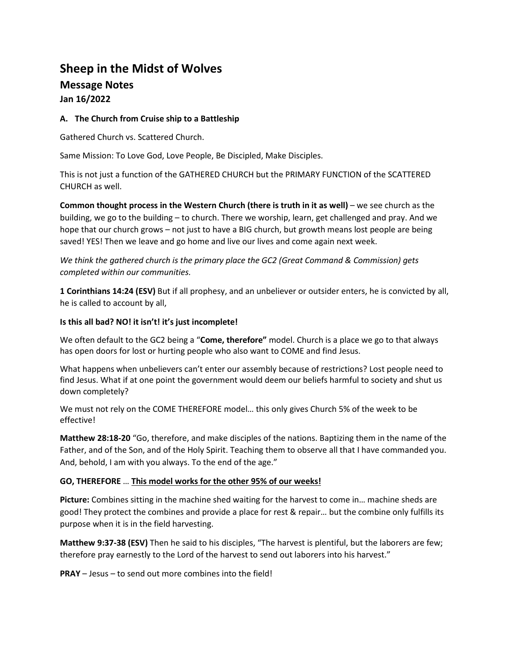# **Sheep in the Midst of Wolves**

# **Message Notes Jan 16/2022**

### **A. The Church from Cruise ship to a Battleship**

Gathered Church vs. Scattered Church.

Same Mission: To Love God, Love People, Be Discipled, Make Disciples.

This is not just a function of the GATHERED CHURCH but the PRIMARY FUNCTION of the SCATTERED CHURCH as well.

**Common thought process in the Western Church (there is truth in it as well)** – we see church as the building, we go to the building – to church. There we worship, learn, get challenged and pray. And we hope that our church grows – not just to have a BIG church, but growth means lost people are being saved! YES! Then we leave and go home and live our lives and come again next week.

*We think the gathered church is the primary place the GC2 (Great Command & Commission) gets completed within our communities.* 

**1 Corinthians 14:24 (ESV)** But if all prophesy, and an unbeliever or outsider enters, he is convicted by all, he is called to account by all,

#### **Is this all bad? NO! it isn't! it's just incomplete!**

We often default to the GC2 being a "**Come, therefore"** model. Church is a place we go to that always has open doors for lost or hurting people who also want to COME and find Jesus.

What happens when unbelievers can't enter our assembly because of restrictions? Lost people need to find Jesus. What if at one point the government would deem our beliefs harmful to society and shut us down completely?

We must not rely on the COME THEREFORE model… this only gives Church 5% of the week to be effective!

**Matthew 28:18-20** "Go, therefore, and make disciples of the nations. Baptizing them in the name of the Father, and of the Son, and of the Holy Spirit. Teaching them to observe all that I have commanded you. And, behold, I am with you always. To the end of the age."

### **GO, THEREFORE** … **This model works for the other 95% of our weeks!**

**Picture:** Combines sitting in the machine shed waiting for the harvest to come in… machine sheds are good! They protect the combines and provide a place for rest & repair… but the combine only fulfills its purpose when it is in the field harvesting.

**Matthew 9:37-38 (ESV)** Then he said to his disciples, "The harvest is plentiful, but the laborers are few; therefore pray earnestly to the Lord of the harvest to send out laborers into his harvest."

**PRAY** – Jesus – to send out more combines into the field!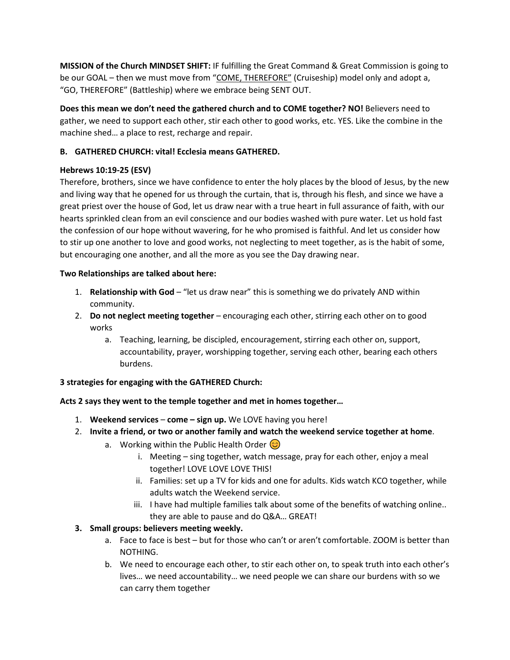**MISSION of the Church MINDSET SHIFT:** IF fulfilling the Great Command & Great Commission is going to be our GOAL – then we must move from "COME, THEREFORE" (Cruiseship) model only and adopt a, "GO, THEREFORE" (Battleship) where we embrace being SENT OUT.

**Does this mean we don't need the gathered church and to COME together? NO!** Believers need to gather, we need to support each other, stir each other to good works, etc. YES. Like the combine in the machine shed… a place to rest, recharge and repair.

### **B. GATHERED CHURCH: vital! Ecclesia means GATHERED.**

### **Hebrews 10:19-25 (ESV)**

Therefore, brothers, since we have confidence to enter the holy places by the blood of Jesus, by the new and living way that he opened for us through the curtain, that is, through his flesh, and since we have a great priest over the house of God, let us draw near with a true heart in full assurance of faith, with our hearts sprinkled clean from an evil conscience and our bodies washed with pure water. Let us hold fast the confession of our hope without wavering, for he who promised is faithful. And let us consider how to stir up one another to love and good works, not neglecting to meet together, as is the habit of some, but encouraging one another, and all the more as you see the Day drawing near.

### **Two Relationships are talked about here:**

- 1. **Relationship with God** "let us draw near" this is something we do privately AND within community.
- 2. **Do not neglect meeting together** encouraging each other, stirring each other on to good works
	- a. Teaching, learning, be discipled, encouragement, stirring each other on, support, accountability, prayer, worshipping together, serving each other, bearing each others burdens.

### **3 strategies for engaging with the GATHERED Church:**

## **Acts 2 says they went to the temple together and met in homes together…**

- 1. **Weekend services come – sign up.** We LOVE having you here!
- 2. **Invite a friend, or two or another family and watch the weekend service together at home**.
	- a. Working within the Public Health Order  $\circled{c}$ 
		- i. Meeting sing together, watch message, pray for each other, enjoy a meal together! LOVE LOVE LOVE THIS!
		- ii. Families: set up a TV for kids and one for adults. Kids watch KCO together, while adults watch the Weekend service.
		- iii. I have had multiple families talk about some of the benefits of watching online.. they are able to pause and do Q&A… GREAT!

## **3. Small groups: believers meeting weekly.**

- a. Face to face is best but for those who can't or aren't comfortable. ZOOM is better than NOTHING.
- b. We need to encourage each other, to stir each other on, to speak truth into each other's lives… we need accountability… we need people we can share our burdens with so we can carry them together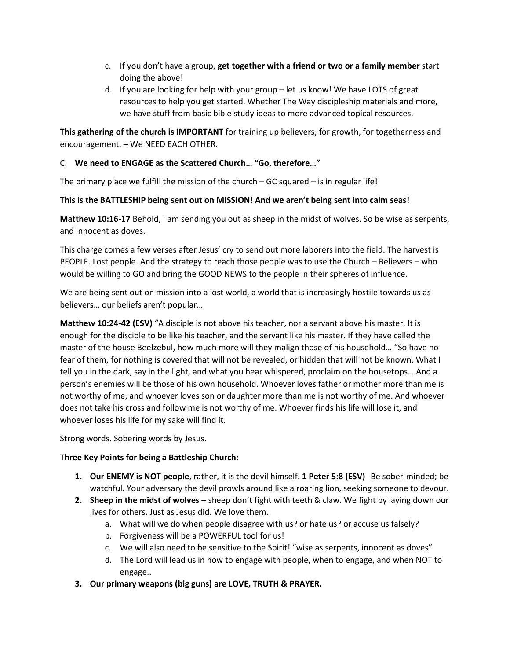- c. If you don't have a group, **get together with a friend or two or a family member** start doing the above!
- d. If you are looking for help with your group let us know! We have LOTS of great resources to help you get started. Whether The Way discipleship materials and more, we have stuff from basic bible study ideas to more advanced topical resources.

**This gathering of the church is IMPORTANT** for training up believers, for growth, for togetherness and encouragement. – We NEED EACH OTHER.

### C. **We need to ENGAGE as the Scattered Church… "Go, therefore…"**

The primary place we fulfill the mission of the church  $-$  GC squared  $-$  is in regular life!

### **This is the BATTLESHIP being sent out on MISSION! And we aren't being sent into calm seas!**

**Matthew 10:16-17** Behold, I am sending you out as sheep in the midst of wolves. So be wise as serpents, and innocent as doves.

This charge comes a few verses after Jesus' cry to send out more laborers into the field. The harvest is PEOPLE. Lost people. And the strategy to reach those people was to use the Church – Believers – who would be willing to GO and bring the GOOD NEWS to the people in their spheres of influence.

We are being sent out on mission into a lost world, a world that is increasingly hostile towards us as believers… our beliefs aren't popular…

**Matthew 10:24-42 (ESV)** "A disciple is not above his teacher, nor a servant above his master. It is enough for the disciple to be like his teacher, and the servant like his master. If they have called the master of the house Beelzebul, how much more will they malign those of his household… "So have no fear of them, for nothing is covered that will not be revealed, or hidden that will not be known. What I tell you in the dark, say in the light, and what you hear whispered, proclaim on the housetops… And a person's enemies will be those of his own household. Whoever loves father or mother more than me is not worthy of me, and whoever loves son or daughter more than me is not worthy of me. And whoever does not take his cross and follow me is not worthy of me. Whoever finds his life will lose it, and whoever loses his life for my sake will find it.

Strong words. Sobering words by Jesus.

### **Three Key Points for being a Battleship Church:**

- **1. Our ENEMY is NOT people**, rather, it is the devil himself. **1 Peter 5:8 (ESV)** Be sober-minded; be watchful. Your adversary the devil prowls around like a roaring lion, seeking someone to devour.
- **2. Sheep in the midst of wolves –** sheep don't fight with teeth & claw. We fight by laying down our lives for others. Just as Jesus did. We love them.
	- a. What will we do when people disagree with us? or hate us? or accuse us falsely?
	- b. Forgiveness will be a POWERFUL tool for us!
	- c. We will also need to be sensitive to the Spirit! "wise as serpents, innocent as doves"
	- d. The Lord will lead us in how to engage with people, when to engage, and when NOT to engage..
- **3. Our primary weapons (big guns) are LOVE, TRUTH & PRAYER.**